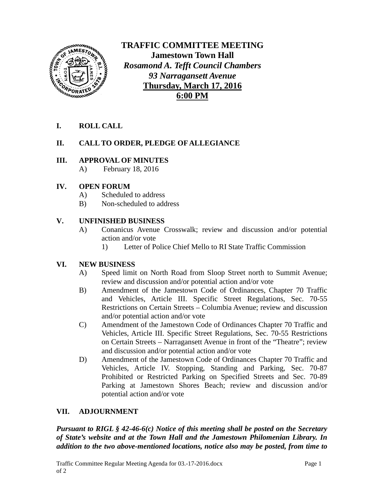

**TRAFFIC COMMITTEE MEETING Jamestown Town Hall** *Rosamond A. Tefft Council Chambers 93 Narragansett Avenue* **Thursday, March 17, 2016 6:00 PM**

**I. ROLL CALL**

# **II. CALL TO ORDER, PLEDGE OF ALLEGIANCE**

#### **III. APPROVAL OF MINUTES**

A) February 18, 2016

## **IV. OPEN FORUM**

- A) Scheduled to address
- B) Non-scheduled to address

## **V. UNFINISHED BUSINESS**

- A) Conanicus Avenue Crosswalk; review and discussion and/or potential action and/or vote
	- 1) Letter of Police Chief Mello to RI State Traffic Commission

# **VI. NEW BUSINESS**

- A) Speed limit on North Road from Sloop Street north to Summit Avenue; review and discussion and/or potential action and/or vote
- B) Amendment of the Jamestown Code of Ordinances, Chapter 70 Traffic and Vehicles, Article III. Specific Street Regulations, Sec. 70-55 Restrictions on Certain Streets – Columbia Avenue; review and discussion and/or potential action and/or vote
- C) Amendment of the Jamestown Code of Ordinances Chapter 70 Traffic and Vehicles, Article III. Specific Street Regulations, Sec. 70-55 Restrictions on Certain Streets – Narragansett Avenue in front of the "Theatre"; review and discussion and/or potential action and/or vote
- D) Amendment of the Jamestown Code of Ordinances Chapter 70 Traffic and Vehicles, Article IV. Stopping, Standing and Parking, Sec. 70-87 Prohibited or Restricted Parking on Specified Streets and Sec. 70-89 Parking at Jamestown Shores Beach; review and discussion and/or potential action and/or vote

# **VII. ADJOURNMENT**

*Pursuant to RIGL § 42-46-6(c) Notice of this meeting shall be posted on the Secretary of State's website and at the Town Hall and the Jamestown Philomenian Library. In addition to the two above-mentioned locations, notice also may be posted, from time to*